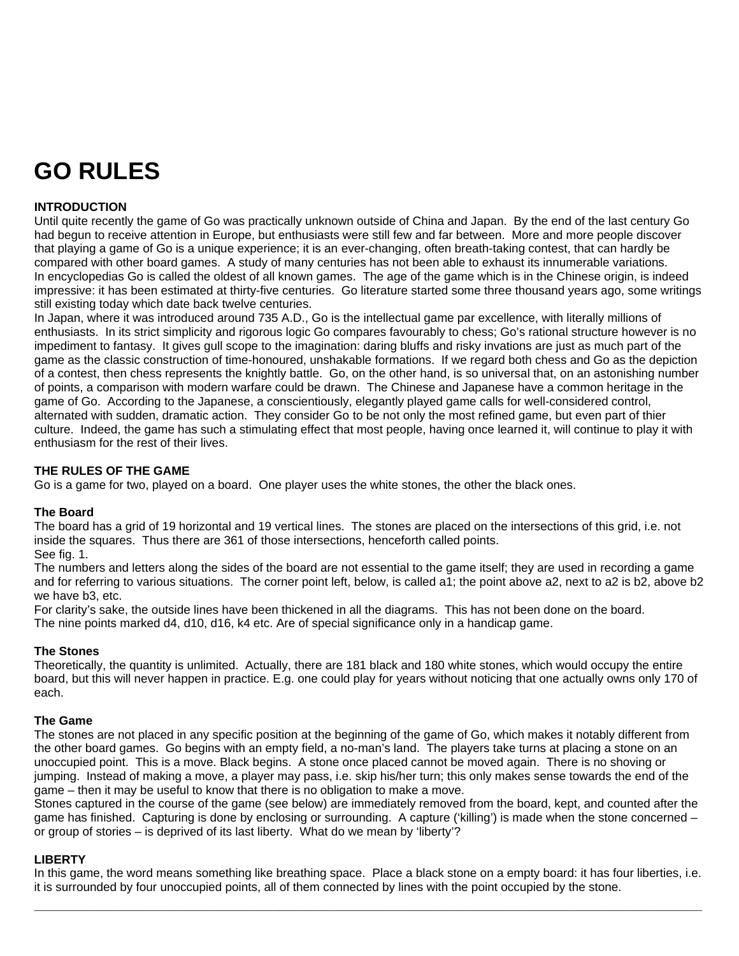# **GO RULES**

## **INTRODUCTION**

Until quite recently the game of Go was practically unknown outside of China and Japan. By the end of the last century Go had begun to receive attention in Europe, but enthusiasts were still few and far between. More and more people discover that playing a game of Go is a unique experience; it is an ever-changing, often breath-taking contest, that can hardly be compared with other board games. A study of many centuries has not been able to exhaust its innumerable variations. In encyclopedias Go is called the oldest of all known games. The age of the game which is in the Chinese origin, is indeed impressive: it has been estimated at thirty-five centuries. Go literature started some three thousand years ago, some writings still existing today which date back twelve centuries.

In Japan, where it was introduced around 735 A.D., Go is the intellectual game par excellence, with literally millions of enthusiasts. In its strict simplicity and rigorous logic Go compares favourably to chess; Go's rational structure however is no impediment to fantasy. It gives gull scope to the imagination: daring bluffs and risky invations are just as much part of the game as the classic construction of time-honoured, unshakable formations. If we regard both chess and Go as the depiction of a contest, then chess represents the knightly battle. Go, on the other hand, is so universal that, on an astonishing number of points, a comparison with modern warfare could be drawn. The Chinese and Japanese have a common heritage in the game of Go. According to the Japanese, a conscientiously, elegantly played game calls for well-considered control, alternated with sudden, dramatic action. They consider Go to be not only the most refined game, but even part of thier culture. Indeed, the game has such a stimulating effect that most people, having once learned it, will continue to play it with enthusiasm for the rest of their lives.

## **THE RULES OF THE GAME**

Go is a game for two, played on a board. One player uses the white stones, the other the black ones.

#### **The Board**

The board has a grid of 19 horizontal and 19 vertical lines. The stones are placed on the intersections of this grid, i.e. not inside the squares. Thus there are 361 of those intersections, henceforth called points.

See fig. 1.

The numbers and letters along the sides of the board are not essential to the game itself; they are used in recording a game and for referring to various situations. The corner point left, below, is called a1; the point above a2, next to a2 is b2, above b2 we have b3, etc.

For clarity's sake, the outside lines have been thickened in all the diagrams. This has not been done on the board. The nine points marked d4, d10, d16, k4 etc. Are of special significance only in a handicap game.

#### **The Stones**

Theoretically, the quantity is unlimited. Actually, there are 181 black and 180 white stones, which would occupy the entire board, but this will never happen in practice. E.g. one could play for years without noticing that one actually owns only 170 of each.

#### **The Game**

The stones are not placed in any specific position at the beginning of the game of Go, which makes it notably different from the other board games. Go begins with an empty field, a no-man's land. The players take turns at placing a stone on an unoccupied point. This is a move. Black begins. A stone once placed cannot be moved again. There is no shoving or jumping. Instead of making a move, a player may pass, i.e. skip his/her turn; this only makes sense towards the end of the game – then it may be useful to know that there is no obligation to make a move.

Stones captured in the course of the game (see below) are immediately removed from the board, kept, and counted after the game has finished. Capturing is done by enclosing or surrounding. A capture ('killing') is made when the stone concerned – or group of stories – is deprived of its last liberty. What do we mean by 'liberty'?

#### **LIBERTY**

In this game, the word means something like breathing space. Place a black stone on a empty board: it has four liberties, i.e. it is surrounded by four unoccupied points, all of them connected by lines with the point occupied by the stone.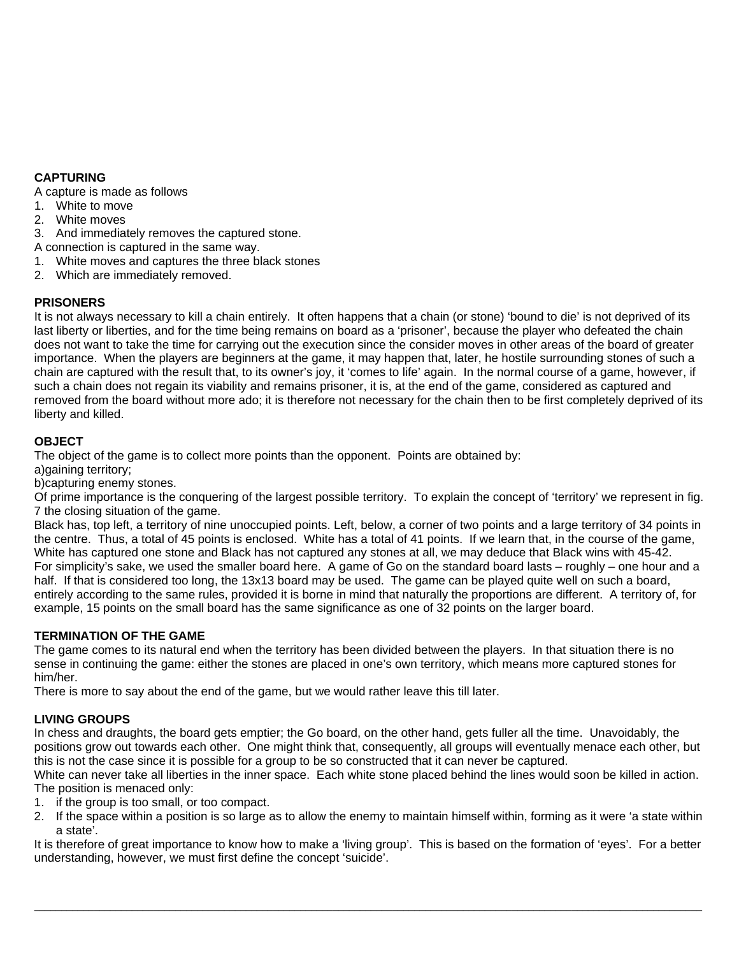# **CAPTURING**

A capture is made as follows

- 1. White to move
- 2. White moves
- 3. And immediately removes the captured stone.

A connection is captured in the same way.

- 1. White moves and captures the three black stones
- 2. Which are immediately removed.

# **PRISONERS**

It is not always necessary to kill a chain entirely. It often happens that a chain (or stone) 'bound to die' is not deprived of its last liberty or liberties, and for the time being remains on board as a 'prisoner', because the player who defeated the chain does not want to take the time for carrying out the execution since the consider moves in other areas of the board of greater importance. When the players are beginners at the game, it may happen that, later, he hostile surrounding stones of such a chain are captured with the result that, to its owner's joy, it 'comes to life' again. In the normal course of a game, however, if such a chain does not regain its viability and remains prisoner, it is, at the end of the game, considered as captured and removed from the board without more ado; it is therefore not necessary for the chain then to be first completely deprived of its liberty and killed.

# **OBJECT**

The object of the game is to collect more points than the opponent. Points are obtained by:

a)gaining territory;

b)capturing enemy stones.

Of prime importance is the conquering of the largest possible territory. To explain the concept of 'territory' we represent in fig. 7 the closing situation of the game.

Black has, top left, a territory of nine unoccupied points. Left, below, a corner of two points and a large territory of 34 points in the centre. Thus, a total of 45 points is enclosed. White has a total of 41 points. If we learn that, in the course of the game, White has captured one stone and Black has not captured any stones at all, we may deduce that Black wins with 45-42. For simplicity's sake, we used the smaller board here. A game of Go on the standard board lasts – roughly – one hour and a half. If that is considered too long, the 13x13 board may be used. The game can be played quite well on such a board, entirely according to the same rules, provided it is borne in mind that naturally the proportions are different. A territory of, for example, 15 points on the small board has the same significance as one of 32 points on the larger board.

## **TERMINATION OF THE GAME**

The game comes to its natural end when the territory has been divided between the players. In that situation there is no sense in continuing the game: either the stones are placed in one's own territory, which means more captured stones for him/her.

There is more to say about the end of the game, but we would rather leave this till later.

## **LIVING GROUPS**

In chess and draughts, the board gets emptier; the Go board, on the other hand, gets fuller all the time. Unavoidably, the positions grow out towards each other. One might think that, consequently, all groups will eventually menace each other, but this is not the case since it is possible for a group to be so constructed that it can never be captured.

White can never take all liberties in the inner space. Each white stone placed behind the lines would soon be killed in action. The position is menaced only:

- 1. if the group is too small, or too compact.
- 2. If the space within a position is so large as to allow the enemy to maintain himself within, forming as it were 'a state within a state'.

It is therefore of great importance to know how to make a 'living group'. This is based on the formation of 'eyes'. For a better understanding, however, we must first define the concept 'suicide'.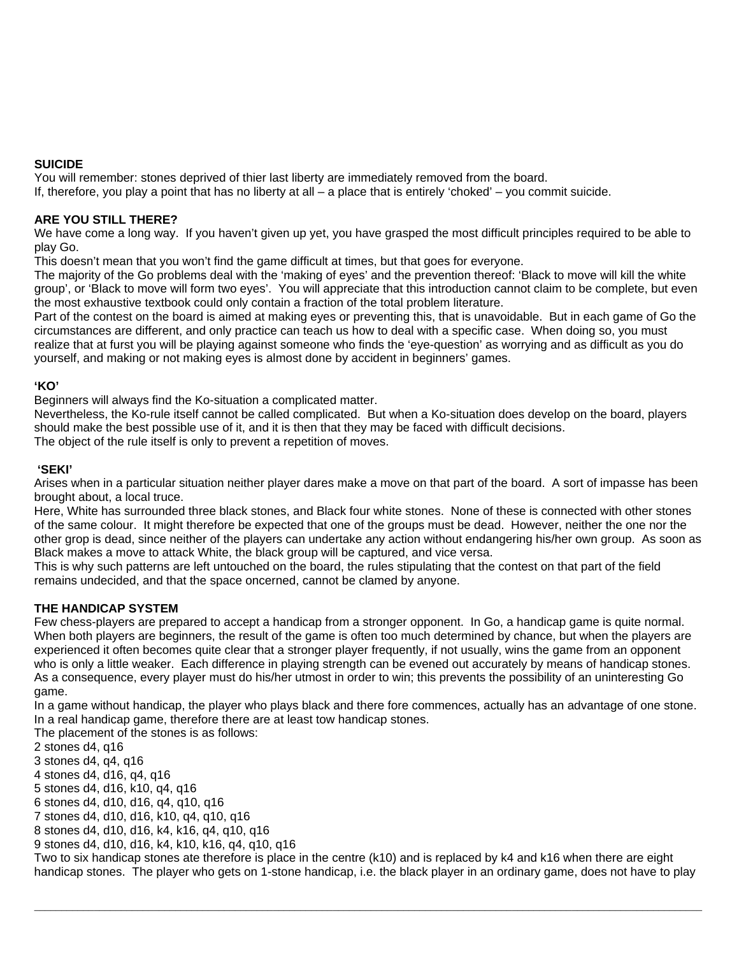## **SUICIDE**

You will remember: stones deprived of thier last liberty are immediately removed from the board.

If, therefore, you play a point that has no liberty at all – a place that is entirely 'choked' – you commit suicide.

## **ARE YOU STILL THERE?**

We have come a long way. If you haven't given up yet, you have grasped the most difficult principles required to be able to play Go.

This doesn't mean that you won't find the game difficult at times, but that goes for everyone.

The majority of the Go problems deal with the 'making of eyes' and the prevention thereof: 'Black to move will kill the white group', or 'Black to move will form two eyes'. You will appreciate that this introduction cannot claim to be complete, but even the most exhaustive textbook could only contain a fraction of the total problem literature.

Part of the contest on the board is aimed at making eyes or preventing this, that is unavoidable. But in each game of Go the circumstances are different, and only practice can teach us how to deal with a specific case. When doing so, you must realize that at furst you will be playing against someone who finds the 'eye-question' as worrying and as difficult as you do yourself, and making or not making eyes is almost done by accident in beginners' games.

## **'KO'**

Beginners will always find the Ko-situation a complicated matter.

Nevertheless, the Ko-rule itself cannot be called complicated. But when a Ko-situation does develop on the board, players should make the best possible use of it, and it is then that they may be faced with difficult decisions.

The object of the rule itself is only to prevent a repetition of moves.

## **'SEKI'**

Arises when in a particular situation neither player dares make a move on that part of the board. A sort of impasse has been brought about, a local truce.

Here, White has surrounded three black stones, and Black four white stones. None of these is connected with other stones of the same colour. It might therefore be expected that one of the groups must be dead. However, neither the one nor the other grop is dead, since neither of the players can undertake any action without endangering his/her own group. As soon as Black makes a move to attack White, the black group will be captured, and vice versa.

This is why such patterns are left untouched on the board, the rules stipulating that the contest on that part of the field remains undecided, and that the space oncerned, cannot be clamed by anyone.

# **THE HANDICAP SYSTEM**

Few chess-players are prepared to accept a handicap from a stronger opponent. In Go, a handicap game is quite normal. When both players are beginners, the result of the game is often too much determined by chance, but when the players are experienced it often becomes quite clear that a stronger player frequently, if not usually, wins the game from an opponent who is only a little weaker. Each difference in playing strength can be evened out accurately by means of handicap stones. As a consequence, every player must do his/her utmost in order to win; this prevents the possibility of an uninteresting Go game.

In a game without handicap, the player who plays black and there fore commences, actually has an advantage of one stone. In a real handicap game, therefore there are at least tow handicap stones.

The placement of the stones is as follows:

2 stones d4, q16

3 stones d4, q4, q16

4 stones d4, d16, q4, q16

5 stones d4, d16, k10, q4, q16

6 stones d4, d10, d16, q4, q10, q16

7 stones d4, d10, d16, k10, q4, q10, q16

8 stones d4, d10, d16, k4, k16, q4, q10, q16

9 stones d4, d10, d16, k4, k10, k16, q4, q10, q16

Two to six handicap stones ate therefore is place in the centre (k10) and is replaced by k4 and k16 when there are eight handicap stones. The player who gets on 1-stone handicap, i.e. the black player in an ordinary game, does not have to play